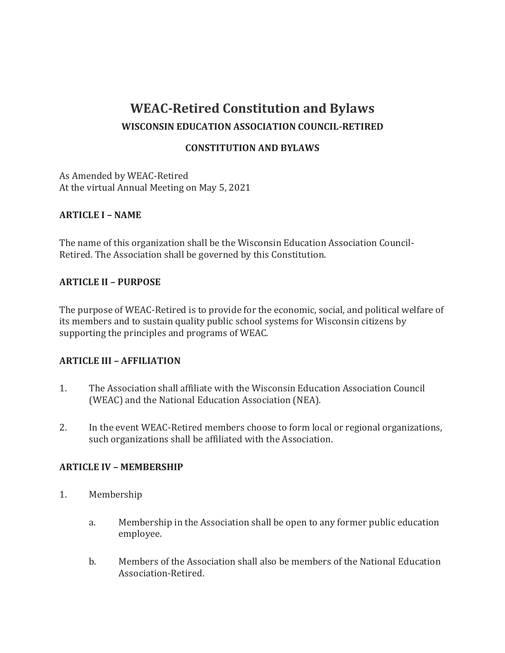# **WEAC-Retired Constitution and Bylaws WISCONSIN EDUCATION ASSOCIATION COUNCIL-RETIRED**

## **CONSTITUTION AND BYLAWS**

As Amended by WEAC-Retired At the virtual Annual Meeting on May 5, 2021

### **ARTICLE I – NAME**

The name of this organization shall be the Wisconsin Education Association Council-Retired. The Association shall be governed by this Constitution.

### **ARTICLE II – PURPOSE**

The purpose of WEAC-Retired is to provide for the economic, social, and political welfare of its members and to sustain quality public school systems for Wisconsin citizens by supporting the principles and programs of WEAC.

### **ARTICLE III – AFFILIATION**

- 1. The Association shall affiliate with the Wisconsin Education Association Council (WEAC) and the National Education Association (NEA).
- 2. In the event WEAC-Retired members choose to form local or regional organizations, such organizations shall be affiliated with the Association.

### **ARTICLE IV – MEMBERSHIP**

- 1. Membership
	- a. Membership in the Association shall be open to any former public education employee.
	- b. Members of the Association shall also be members of the National Education Association-Retired.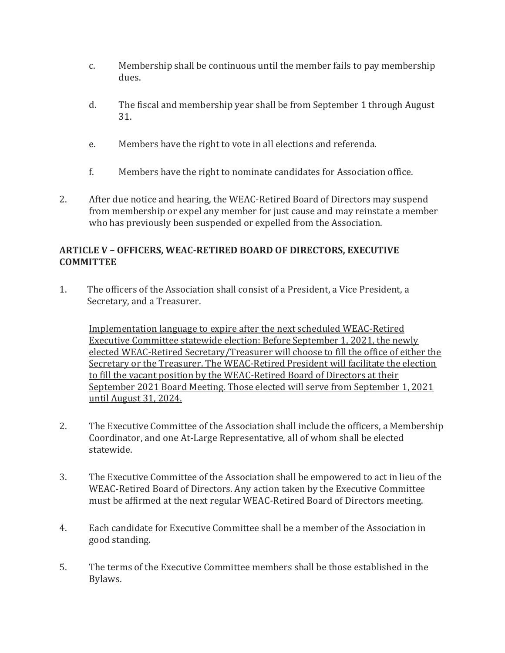- c. Membership shall be continuous until the member fails to pay membership dues.
- d. The fiscal and membership year shall be from September 1 through August 31.
- e. Members have the right to vote in all elections and referenda.
- f. Members have the right to nominate candidates for Association office.
- 2. After due notice and hearing, the WEAC-Retired Board of Directors may suspend from membership or expel any member for just cause and may reinstate a member who has previously been suspended or expelled from the Association.

# **ARTICLE V – OFFICERS, WEAC-RETIRED BOARD OF DIRECTORS, EXECUTIVE COMMITTEE**

1. The officers of the Association shall consist of a President, a Vice President, a Secretary, and a Treasurer.

Implementation language to expire after the next scheduled WEAC-Retired Executive Committee statewide election: Before September 1, 2021, the newly elected WEAC-Retired Secretary/Treasurer will choose to fill the office of either the Secretary or the Treasurer. The WEAC-Retired President will facilitate the election to fill the vacant position by the WEAC-Retired Board of Directors at their September 2021 Board Meeting. Those elected will serve from September 1, 2021 until August 31, 2024.

- 2. The Executive Committee of the Association shall include the officers, a Membership Coordinator, and one At-Large Representative, all of whom shall be elected statewide.
- 3. The Executive Committee of the Association shall be empowered to act in lieu of the WEAC-Retired Board of Directors. Any action taken by the Executive Committee must be affirmed at the next regular WEAC-Retired Board of Directors meeting.
- 4. Each candidate for Executive Committee shall be a member of the Association in good standing.
- 5. The terms of the Executive Committee members shall be those established in the Bylaws.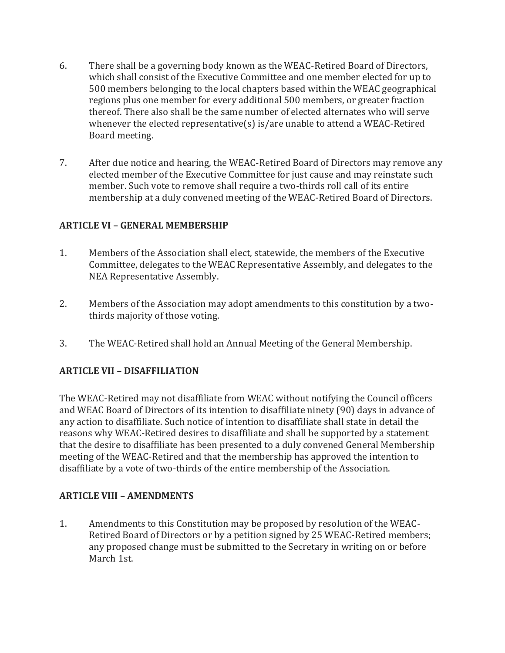- 6. There shall be a governing body known as the WEAC-Retired Board of Directors, which shall consist of the Executive Committee and one member elected for up to 500 members belonging to the local chapters based within the WEAC geographical regions plus one member for every additional 500 members, or greater fraction thereof. There also shall be the same number of elected alternates who will serve whenever the elected representative(s) is/are unable to attend a WEAC-Retired Board meeting.
- 7. After due notice and hearing, the WEAC-Retired Board of Directors may remove any elected member of the Executive Committee for just cause and may reinstate such member. Such vote to remove shall require a two-thirds roll call of its entire membership at a duly convened meeting of the WEAC-Retired Board of Directors.

## **ARTICLE VI – GENERAL MEMBERSHIP**

- 1. Members of the Association shall elect, statewide, the members of the Executive Committee, delegates to the WEAC Representative Assembly, and delegates to the NEA Representative Assembly.
- 2. Members of the Association may adopt amendments to this constitution by a twothirds majority of those voting.
- 3. The WEAC-Retired shall hold an Annual Meeting of the General Membership.

# **ARTICLE VII – DISAFFILIATION**

The WEAC-Retired may not disaffiliate from WEAC without notifying the Council officers and WEAC Board of Directors of its intention to disaffiliate ninety (90) days in advance of any action to disaffiliate. Such notice of intention to disaffiliate shall state in detail the reasons why WEAC-Retired desires to disaffiliate and shall be supported by a statement that the desire to disaffiliate has been presented to a duly convened General Membership meeting of the WEAC-Retired and that the membership has approved the intention to disaffiliate by a vote of two-thirds of the entire membership of the Association.

### **ARTICLE VIII – AMENDMENTS**

1. Amendments to this Constitution may be proposed by resolution of the WEAC-Retired Board of Directors or by a petition signed by 25 WEAC-Retired members; any proposed change must be submitted to the Secretary in writing on or before March 1st.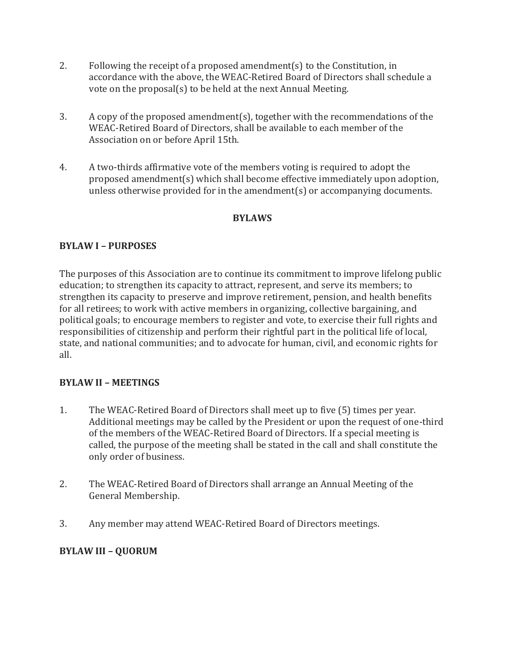- 2. Following the receipt of a proposed amendment(s) to the Constitution, in accordance with the above, the WEAC-Retired Board of Directors shall schedule a vote on the proposal(s) to be held at the next Annual Meeting.
- 3. A copy of the proposed amendment(s), together with the recommendations of the WEAC-Retired Board of Directors, shall be available to each member of the Association on or before April 15th.
- 4. A two-thirds affirmative vote of the members voting is required to adopt the proposed amendment(s) which shall become effective immediately upon adoption, unless otherwise provided for in the amendment(s) or accompanying documents.

# **BYLAWS**

## **BYLAW I – PURPOSES**

The purposes of this Association are to continue its commitment to improve lifelong public education; to strengthen its capacity to attract, represent, and serve its members; to strengthen its capacity to preserve and improve retirement, pension, and health benefits for all retirees; to work with active members in organizing, collective bargaining, and political goals; to encourage members to register and vote, to exercise their full rights and responsibilities of citizenship and perform their rightful part in the political life of local, state, and national communities; and to advocate for human, civil, and economic rights for all.

### **BYLAW II – MEETINGS**

- 1. The WEAC-Retired Board of Directors shall meet up to five (5) times per year. Additional meetings may be called by the President or upon the request of one-third of the members of the WEAC-Retired Board of Directors. If a special meeting is called, the purpose of the meeting shall be stated in the call and shall constitute the only order of business.
- 2. The WEAC-Retired Board of Directors shall arrange an Annual Meeting of the General Membership.
- 3. Any member may attend WEAC-Retired Board of Directors meetings.

### **BYLAW III – QUORUM**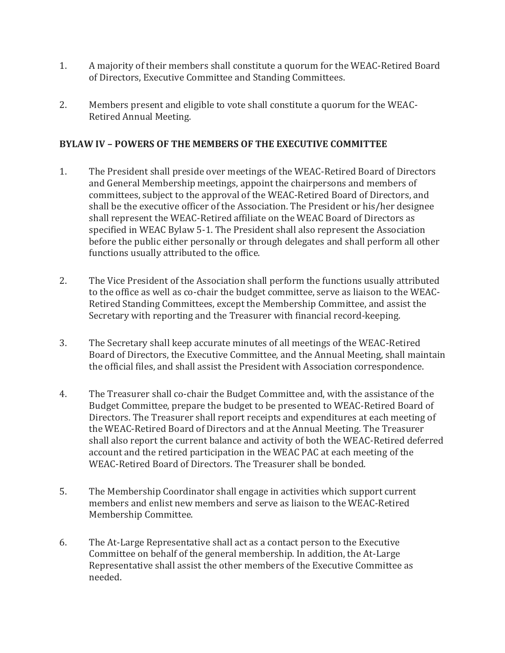- 1. A majority of their members shall constitute a quorum for the WEAC-Retired Board of Directors, Executive Committee and Standing Committees.
- 2. Members present and eligible to vote shall constitute a quorum for the WEAC-Retired Annual Meeting.

# **BYLAW IV – POWERS OF THE MEMBERS OF THE EXECUTIVE COMMITTEE**

- 1. The President shall preside over meetings of the WEAC-Retired Board of Directors and General Membership meetings, appoint the chairpersons and members of committees, subject to the approval of the WEAC-Retired Board of Directors, and shall be the executive officer of the Association. The President or his/her designee shall represent the WEAC-Retired affiliate on the WEAC Board of Directors as specified in WEAC Bylaw 5-1. The President shall also represent the Association before the public either personally or through delegates and shall perform all other functions usually attributed to the office.
- 2. The Vice President of the Association shall perform the functions usually attributed to the office as well as co-chair the budget committee, serve as liaison to the WEAC-Retired Standing Committees, except the Membership Committee, and assist the Secretary with reporting and the Treasurer with financial record-keeping.
- 3. The Secretary shall keep accurate minutes of all meetings of the WEAC-Retired Board of Directors, the Executive Committee, and the Annual Meeting, shall maintain the official files, and shall assist the President with Association correspondence.
- 4. The Treasurer shall co-chair the Budget Committee and, with the assistance of the Budget Committee, prepare the budget to be presented to WEAC-Retired Board of Directors. The Treasurer shall report receipts and expenditures at each meeting of the WEAC-Retired Board of Directors and at the Annual Meeting. The Treasurer shall also report the current balance and activity of both the WEAC-Retired deferred account and the retired participation in the WEAC PAC at each meeting of the WEAC-Retired Board of Directors. The Treasurer shall be bonded.
- 5. The Membership Coordinator shall engage in activities which support current members and enlist new members and serve as liaison to the WEAC-Retired Membership Committee.
- 6. The At-Large Representative shall act as a contact person to the Executive Committee on behalf of the general membership. In addition, the At-Large Representative shall assist the other members of the Executive Committee as needed.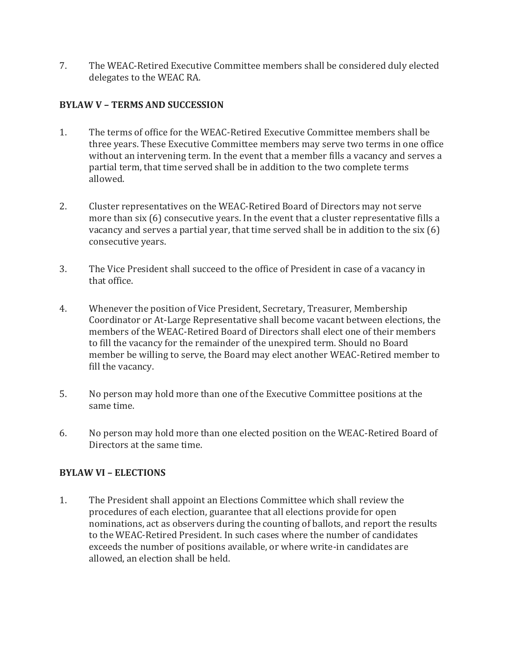7. The WEAC-Retired Executive Committee members shall be considered duly elected delegates to the WEAC RA.

# **BYLAW V – TERMS AND SUCCESSION**

- 1. The terms of office for the WEAC-Retired Executive Committee members shall be three years. These Executive Committee members may serve two terms in one office without an intervening term. In the event that a member fills a vacancy and serves a partial term, that time served shall be in addition to the two complete terms allowed.
- 2. Cluster representatives on the WEAC-Retired Board of Directors may not serve more than six (6) consecutive years. In the event that a cluster representative fills a vacancy and serves a partial year, that time served shall be in addition to the six (6) consecutive years.
- 3. The Vice President shall succeed to the office of President in case of a vacancy in that office.
- 4. Whenever the position of Vice President, Secretary, Treasurer, Membership Coordinator or At-Large Representative shall become vacant between elections, the members of the WEAC-Retired Board of Directors shall elect one of their members to fill the vacancy for the remainder of the unexpired term. Should no Board member be willing to serve, the Board may elect another WEAC-Retired member to fill the vacancy.
- 5. No person may hold more than one of the Executive Committee positions at the same time.
- 6. No person may hold more than one elected position on the WEAC-Retired Board of Directors at the same time.

# **BYLAW VI – ELECTIONS**

1. The President shall appoint an Elections Committee which shall review the procedures of each election, guarantee that all elections provide for open nominations, act as observers during the counting of ballots, and report the results to the WEAC-Retired President. In such cases where the number of candidates exceeds the number of positions available, or where write-in candidates are allowed, an election shall be held.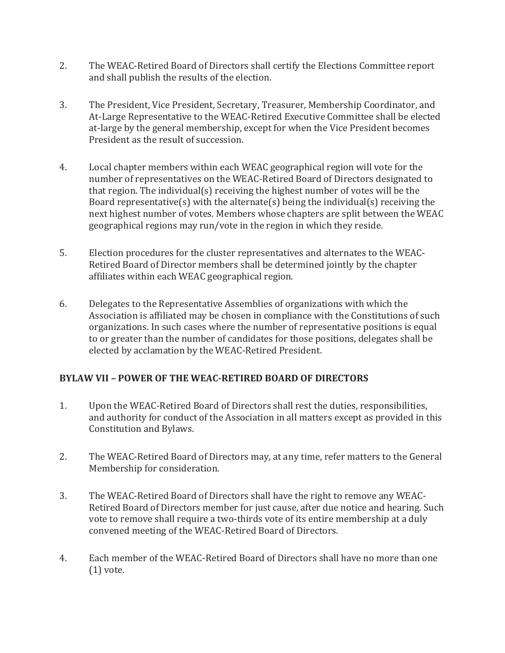- 2. The WEAC-Retired Board of Directors shall certify the Elections Committee report and shall publish the results of the election.
- 3. The President, Vice President, Secretary, Treasurer, Membership Coordinator, and At-Large Representative to the WEAC-Retired Executive Committee shall be elected at-large by the general membership, except for when the Vice President becomes President as the result of succession.
- 4. Local chapter members within each WEAC geographical region will vote for the number of representatives on the WEAC-Retired Board of Directors designated to that region. The individual(s) receiving the highest number of votes will be the Board representative(s) with the alternate(s) being the individual(s) receiving the next highest number of votes. Members whose chapters are split between the WEAC geographical regions may run/vote in the region in which they reside.
- 5. Election procedures for the cluster representatives and alternates to the WEAC-Retired Board of Director members shall be determined jointly by the chapter affiliates within each WEAC geographical region.
- 6. Delegates to the Representative Assemblies of organizations with which the Association is affiliated may be chosen in compliance with the Constitutions of such organizations. In such cases where the number of representative positions is equal to or greater than the number of candidates for those positions, delegates shall be elected by acclamation by the WEAC-Retired President.

# **BYLAW VII – POWER OF THE WEAC-RETIRED BOARD OF DIRECTORS**

- 1. Upon the WEAC-Retired Board of Directors shall rest the duties, responsibilities, and authority for conduct of the Association in all matters except as provided in this Constitution and Bylaws.
- 2. The WEAC-Retired Board of Directors may, at any time, refer matters to the General Membership for consideration.
- 3. The WEAC-Retired Board of Directors shall have the right to remove any WEAC-Retired Board of Directors member for just cause, after due notice and hearing. Such vote to remove shall require a two-thirds vote of its entire membership at a duly convened meeting of the WEAC-Retired Board of Directors.
- 4. Each member of the WEAC-Retired Board of Directors shall have no more than one (1) vote.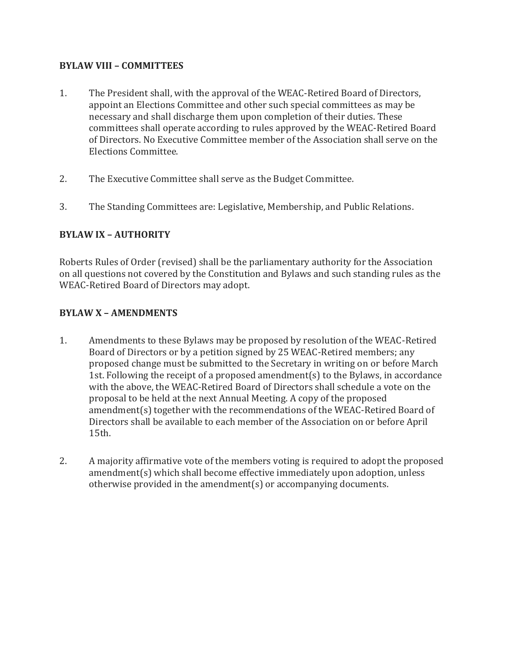### **BYLAW VIII – COMMITTEES**

- 1. The President shall, with the approval of the WEAC-Retired Board of Directors, appoint an Elections Committee and other such special committees as may be necessary and shall discharge them upon completion of their duties. These committees shall operate according to rules approved by the WEAC-Retired Board of Directors. No Executive Committee member of the Association shall serve on the Elections Committee.
- 2. The Executive Committee shall serve as the Budget Committee.
- 3. The Standing Committees are: Legislative, Membership, and Public Relations.

# **BYLAW IX – AUTHORITY**

Roberts Rules of Order (revised) shall be the parliamentary authority for the Association on all questions not covered by the Constitution and Bylaws and such standing rules as the WEAC-Retired Board of Directors may adopt.

# **BYLAW X – AMENDMENTS**

- 1. Amendments to these Bylaws may be proposed by resolution of the WEAC-Retired Board of Directors or by a petition signed by 25 WEAC-Retired members; any proposed change must be submitted to the Secretary in writing on or before March 1st. Following the receipt of a proposed amendment(s) to the Bylaws, in accordance with the above, the WEAC-Retired Board of Directors shall schedule a vote on the proposal to be held at the next Annual Meeting. A copy of the proposed amendment(s) together with the recommendations of the WEAC-Retired Board of Directors shall be available to each member of the Association on or before April 15th.
- 2. A majority affirmative vote of the members voting is required to adopt the proposed amendment(s) which shall become effective immediately upon adoption, unless otherwise provided in the amendment(s) or accompanying documents.